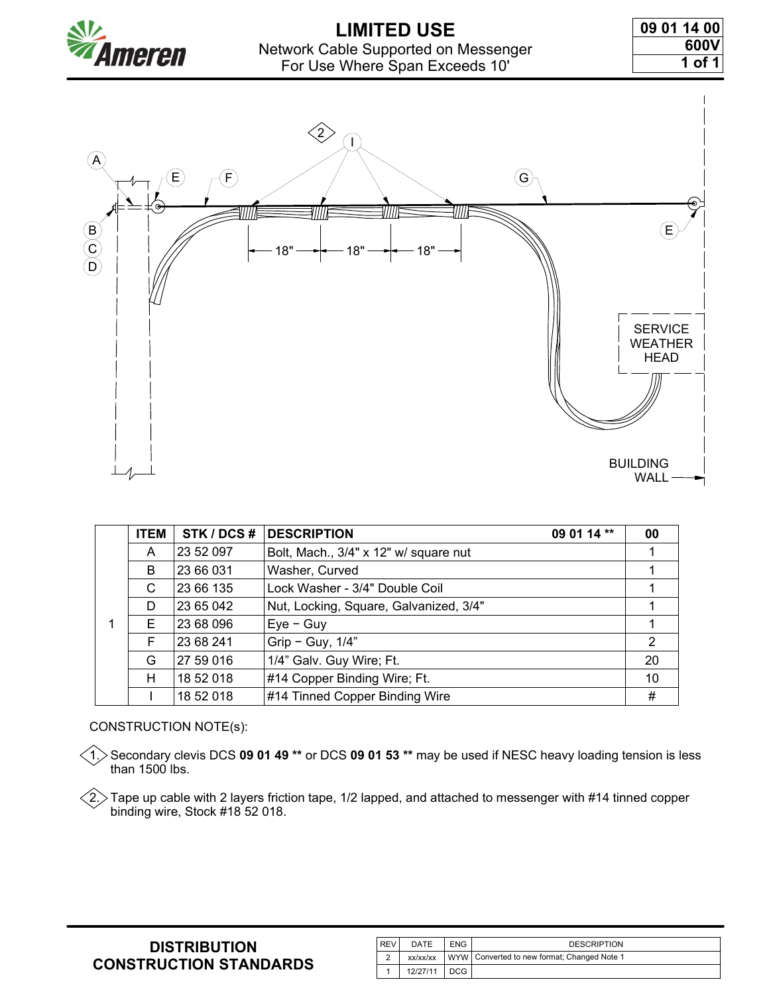

# **LIMITED USE** Network Cable Supported on Messenger For Use Where Span Exceeds 10'

| 09 01 14 00 |
|-------------|
| 600V        |
| 1 of 1      |



|  | <b>ITEM</b> | STK / DCS # | <b>DESCRIPTION</b><br>09 01 14**       | 00 |
|--|-------------|-------------|----------------------------------------|----|
|  | A           | 23 52 097   | Bolt, Mach., 3/4" x 12" w/ square nut  |    |
|  | В           | 23 66 031   | Washer, Curved                         |    |
|  | C           | 23 66 135   | Lock Washer - 3/4" Double Coil         |    |
|  | D           | 23 65 042   | Nut, Locking, Square, Galvanized, 3/4" |    |
|  | Е           | 23 68 096   | $Eye - Guy$                            |    |
|  | F           | 23 68 241   | Grip - Guy, $1/4$ "                    | 2  |
|  | G           | 27 59 016   | 1/4" Galv. Guy Wire; Ft.               | 20 |
|  | н           | 18 52 018   | #14 Copper Binding Wire; Ft.           | 10 |
|  |             | 18 52 018   | #14 Tinned Copper Binding Wire         | #  |

#### CONSTRUCTION NOTE(s):

1. Secondary clevis DCS **09 01 49 \*\*** or DCS **09 01 53 \*\*** may be used if NESC heavy loading tension is less  $\degree$  than 1500 lbs.

 $\triangle 2$  Tape up cable with 2 layers friction tape, 1/2 lapped, and attached to messenger with #14 tinned copper binding wire, Stock #18 52 018.

## **DISTRIBUTION CONSTRUCTION STANDARDS**

| <b>REV</b> | DATE     | <b>ENG</b> | <b>DESCRIPTION</b>                            |
|------------|----------|------------|-----------------------------------------------|
| ົ          | xx/xx/xx |            | WYW   Converted to new format; Changed Note 1 |
|            | 12/27/11 | DCG.       |                                               |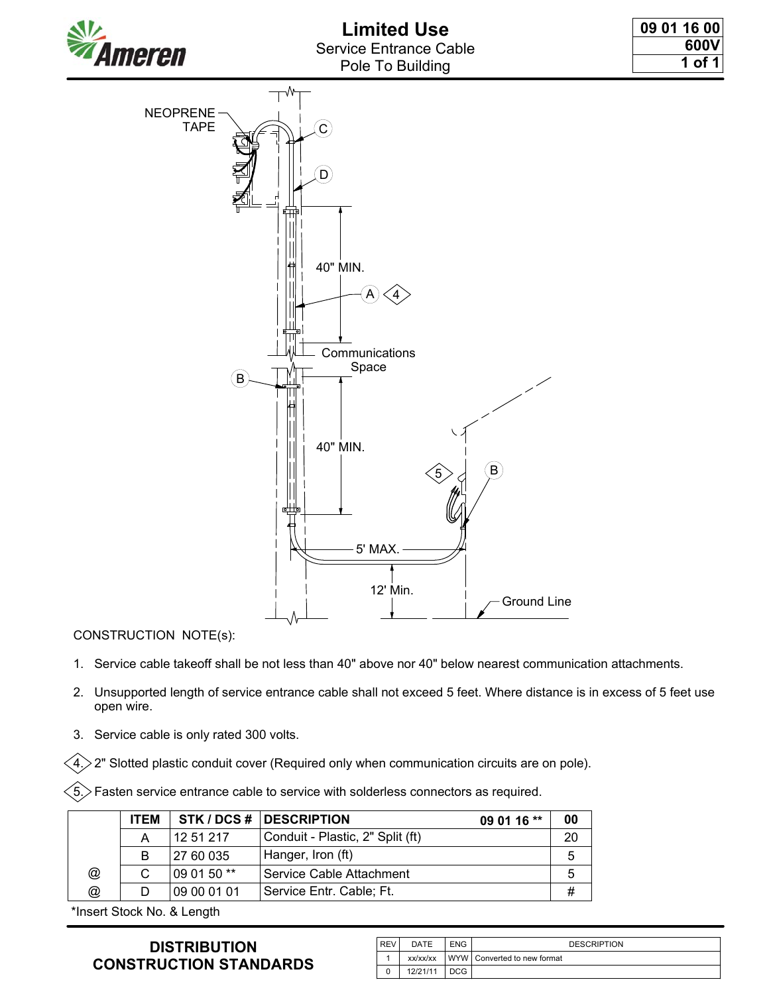



### CONSTRUCTION NOTE(s):

- 1. Service cable takeoff shall be not less than 40" above nor 40" below nearest communication attachments.
- 2. Unsupported length of service entrance cable shall not exceed 5 feet. Where distance is in excess of 5 feet use open wire.
- 3. Service cable is only rated 300 volts.

 $\left\langle 4\right\rangle$ 2" Slotted plastic conduit cover (Required only when communication circuits are on pole).

 $\lesssim$ 5. $>$  Fasten service entrance cable to service with solderless connectors as required.

|                      | <b>ITEM</b> |             | STK / DCS # DESCRIPTION<br>09 01 16 ** | 00 |
|----------------------|-------------|-------------|----------------------------------------|----|
|                      | А           | 12 51 217   | Conduit - Plastic, 2" Split (ft)       | 20 |
|                      | B           | 27 60 035   | Hanger, Iron (ft)                      | 5  |
| $^{\textregistered}$ | C           | 09 01 50 ** | Service Cable Attachment               | 5  |
| $^{\textregistered}$ | D           | 09 00 01 01 | Service Entr. Cable; Ft.               | #  |

\*Insert Stock No. & Length

## **DISTRIBUTION CONSTRUCTION STANDARDS**

| <b>REV</b> | DATE     | <b>ENG</b> | <b>DESCRIPTION</b>          |
|------------|----------|------------|-----------------------------|
|            | xx/xx/xx |            | WYW Converted to new format |
|            | 12/21/11 | DCG.       |                             |